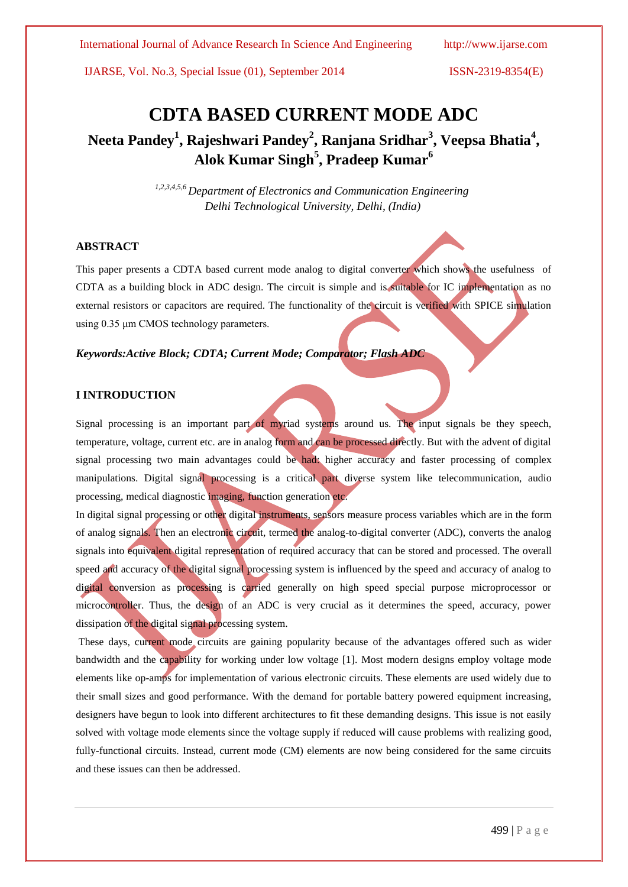International Journal of Advance Research In Science And Engineering http://www.ijarse.com

IJARSE, Vol. No.3, Special Issue (01), September 2014 ISSN-2319-8354(E)

# **CDTA BASED CURRENT MODE ADC**

**Neeta Pandey<sup>1</sup> , Rajeshwari Pandey<sup>2</sup> , Ranjana Sridhar<sup>3</sup> , Veepsa Bhatia<sup>4</sup> , Alok Kumar Singh<sup>5</sup> , Pradeep Kumar<sup>6</sup>**

> *1,2,3,4,5,6 Department of Electronics and Communication Engineering Delhi Technological University, Delhi, (India)*

#### **ABSTRACT**

This paper presents a CDTA based current mode analog to digital converter which shows the usefulness of CDTA as a building block in ADC design. The circuit is simple and is suitable for IC implementation as no external resistors or capacitors are required. The functionality of the circuit is verified with SPICE simulation using 0.35 μm CMOS technology parameters.

# *Keywords:Active Block; CDTA; Current Mode; Comparator; Flash ADC*

# **I INTRODUCTION**

Signal processing is an important part of myriad systems around us. The input signals be they speech, temperature, voltage, current etc. are in analog form and can be processed directly. But with the advent of digital signal processing two main advantages could be had: higher accuracy and faster processing of complex manipulations. Digital signal processing is a critical part diverse system like telecommunication, audio processing, medical diagnostic imaging, function generation etc.

In digital signal processing or other digital instruments, sensors measure process variables which are in the form of analog signals. Then an electronic circuit, termed the analog-to-digital converter (ADC), converts the analog signals into equivalent digital representation of required accuracy that can be stored and processed. The overall speed and accuracy of the digital signal processing system is influenced by the speed and accuracy of analog to digital conversion as processing is carried generally on high speed special purpose microprocessor or microcontroller. Thus, the design of an ADC is very crucial as it determines the speed, accuracy, power dissipation of the digital signal processing system.

These days, current mode circuits are gaining popularity because of the advantages offered such as wider bandwidth and the capability for working under low voltage [1]. Most modern designs employ voltage mode elements like op-amps for implementation of various electronic circuits. These elements are used widely due to their small sizes and good performance. With the demand for portable battery powered equipment increasing, designers have begun to look into different architectures to fit these demanding designs. This issue is not easily solved with voltage mode elements since the voltage supply if reduced will cause problems with realizing good, fully-functional circuits. Instead, current mode (CM) elements are now being considered for the same circuits and these issues can then be addressed.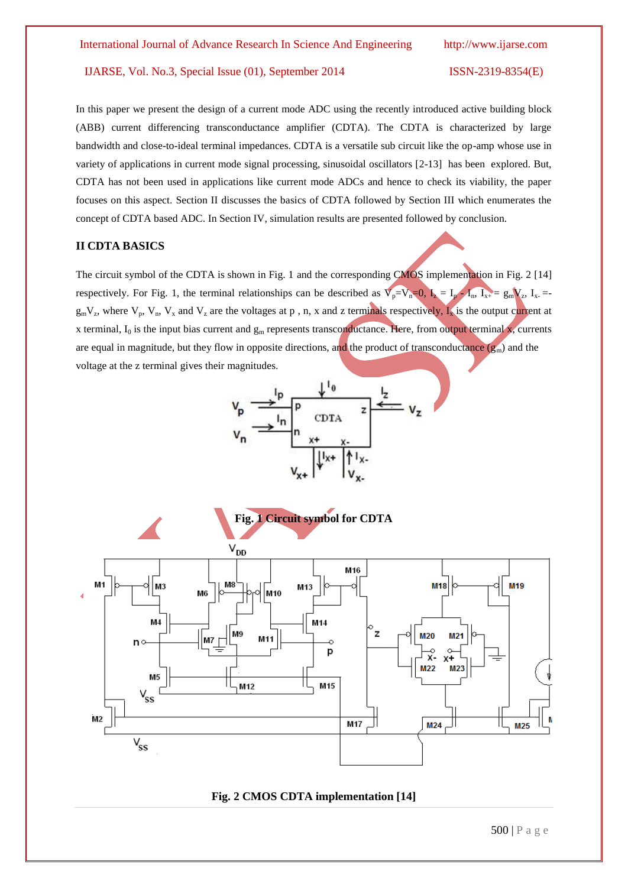In this paper we present the design of a current mode ADC using the recently introduced active building block (ABB) current differencing transconductance amplifier (CDTA). The CDTA is characterized by large bandwidth and close-to-ideal terminal impedances. CDTA is a versatile sub circuit like the op-amp whose use in variety of applications in current mode signal processing, sinusoidal oscillators [2-13] has been explored. But, CDTA has not been used in applications like current mode ADCs and hence to check its viability, the paper focuses on this aspect. Section II discusses the basics of CDTA followed by Section III which enumerates the concept of CDTA based ADC. In Section IV, simulation results are presented followed by conclusion.

### **II CDTA BASICS**

The circuit symbol of the CDTA is shown in Fig. 1 and the corresponding CMOS implementation in Fig. 2 [14] respectively. For Fig. 1, the terminal relationships can be described as  $V_p = V_n = 0$ ,  $I_2 = I_p - I_n$ ,  $I_{x+} = g_m V_z$ ,  $I_{x-} = g_m V_z$  $g_mV_z$ , where  $V_p$ ,  $V_n$ ,  $V_x$  and  $V_z$  are the voltages at p, n, x and z terminals respectively,  $I_x$  is the output current at x terminal,  $I_0$  is the input bias current and  $g_m$  represents transconductance. Here, from output terminal x, currents are equal in magnitude, but they flow in opposite directions, and the product of transconductance  $(g_m)$  and the voltage at the z terminal gives their magnitudes.

$$
v_p \xrightarrow{\frac{1}{\sqrt{p}}} \frac{\sqrt{\frac{1}{p}}}{\frac{1}{\sqrt{p}} \sqrt{\frac{1}{\sqrt{p}}}} \frac{1}{\sqrt{p}}}{\frac{x}{\sqrt{x}} \sqrt{\frac{1}{x} + \frac{1}{\sqrt{p}}}} \frac{1}{\sqrt{x}}}
$$



### **Fig. 2 CMOS CDTA implementation [14]**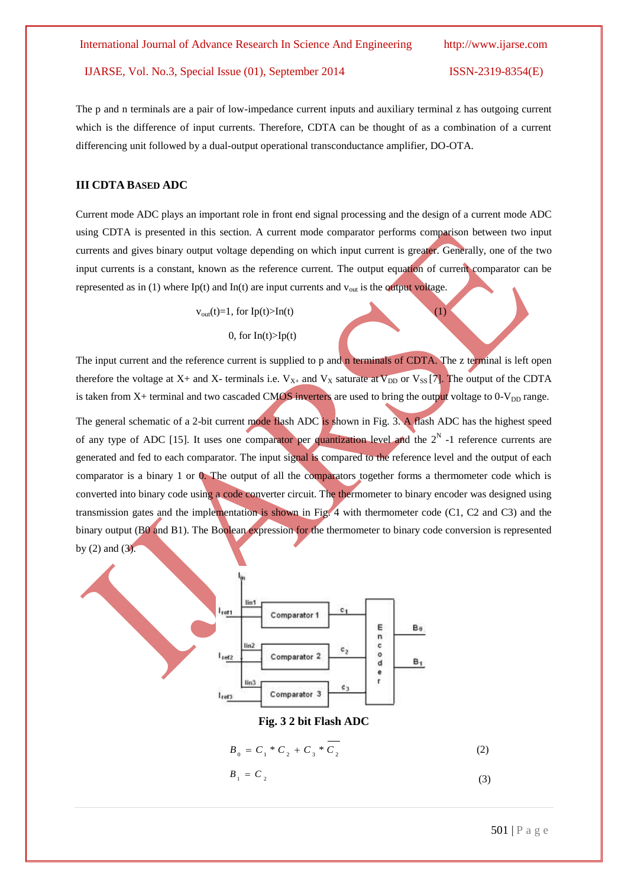The p and n terminals are a pair of low-impedance current inputs and auxiliary terminal z has outgoing current which is the difference of input currents. Therefore, CDTA can be thought of as a combination of a current differencing unit followed by a dual-output operational transconductance amplifier, DO-OTA.

#### **III CDTA BASED ADC**

Current mode ADC plays an important role in front end signal processing and the design of a current mode ADC using CDTA is presented in this section. A current mode comparator performs comparison between two input currents and gives binary output voltage depending on which input current is greater. Generally, one of the two input currents is a constant, known as the reference current. The output equation of current comparator can be represented as in (1) where Ip(t) and In(t) are input currents and  $v_{\text{out}}$  is the output voltage.

 $v_{\text{out}}(t)=1$ , for  $Ip(t) > In(t)$  (1)

#### 0, for  $In(t) > Ip(t)$

The input current and the reference current is supplied to p and n terminals of CDTA. The z terminal is left open therefore the voltage at X+ and X- terminals i.e.  $V_{X+}$  and  $V_X$  saturate at  $V_{DD}$  or  $V_{SS}$  [7]. The output of the CDTA is taken from  $X+$  terminal and two cascaded CMOS inverters are used to bring the output voltage to  $0-V<sub>DD</sub>$  range.

The general schematic of a 2-bit current mode flash ADC is shown in Fig. 3. A flash ADC has the highest speed of any type of ADC [15]. It uses one comparator per quantization level and the  $2<sup>N</sup>$  -1 reference currents are generated and fed to each comparator. The input signal is compared to the reference level and the output of each comparator is a binary 1 or 0. The output of all the comparators together forms a thermometer code which is converted into binary code using a code converter circuit. The thermometer to binary encoder was designed using transmission gates and the implementation is shown in Fig. 4 with thermometer code (C1, C2 and C3) and the binary output (B0 and B1). The Boolean expression for the thermometer to binary code conversion is represented by  $(2)$  and  $(3)$ .



501 | P a g e

(3)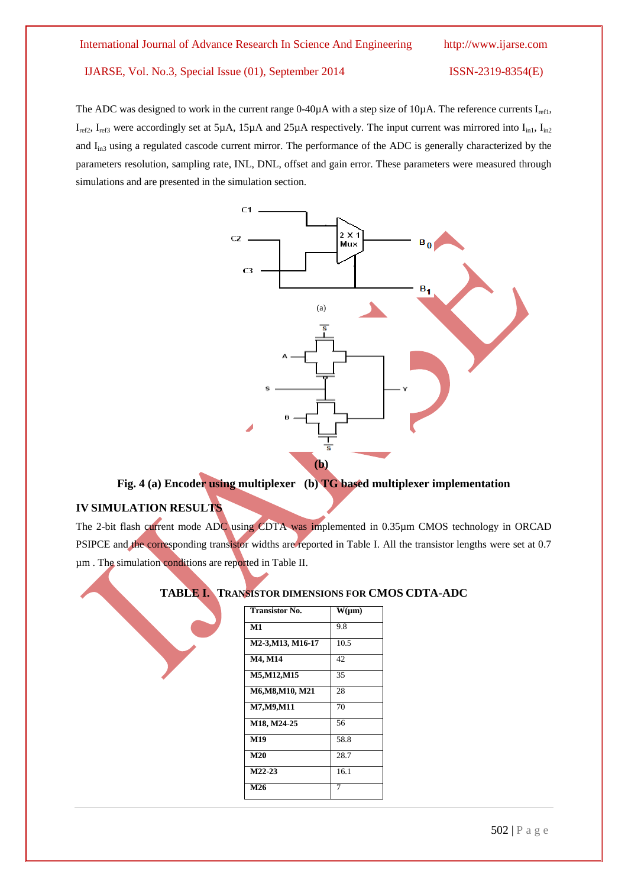The ADC was designed to work in the current range  $0-40\mu A$  with a step size of 10 $\mu A$ . The reference currents  $I_{ref1}$ ,  $I_{ref2}$ ,  $I_{ref3}$  were accordingly set at 5µA, 15µA and 25µA respectively. The input current was mirrored into  $I_{in1}$ ,  $I_{in2}$ and I<sub>in3</sub> using a regulated cascode current mirror. The performance of the ADC is generally characterized by the parameters resolution, sampling rate, INL, DNL, offset and gain error. These parameters were measured through simulations and are presented in the simulation section.



# **Fig. 4 (a) Encoder using multiplexer (b) TG based multiplexer implementation**

# **IV SIMULATION RESULTS**

The 2-bit flash current mode ADC using CDTA was implemented in 0.35µm CMOS technology in ORCAD PSIPCE and the corresponding transistor widths are reported in Table I. All the transistor lengths were set at 0.7 µm . The simulation conditions are reported in Table II.

# **TABLE I. TRANSISTOR DIMENSIONS FOR CMOS CDTA-ADC**

| <b>Transistor No.</b> | $W(\mu m)$ |
|-----------------------|------------|
|                       |            |
| M1                    | 9.8        |
| M2-3, M13, M16-17     | 10.5       |
| M4, M14               | 42.        |
| M5, M12, M15          | 35         |
| M6, M8, M10, M21      | 28         |
| M7, M9, M11           | 70         |
| M18, M24-25           | 56         |
| M <sub>19</sub>       | 58.8       |
| M20                   | 28.7       |
| $M22-23$              | 16.1       |
| M26                   |            |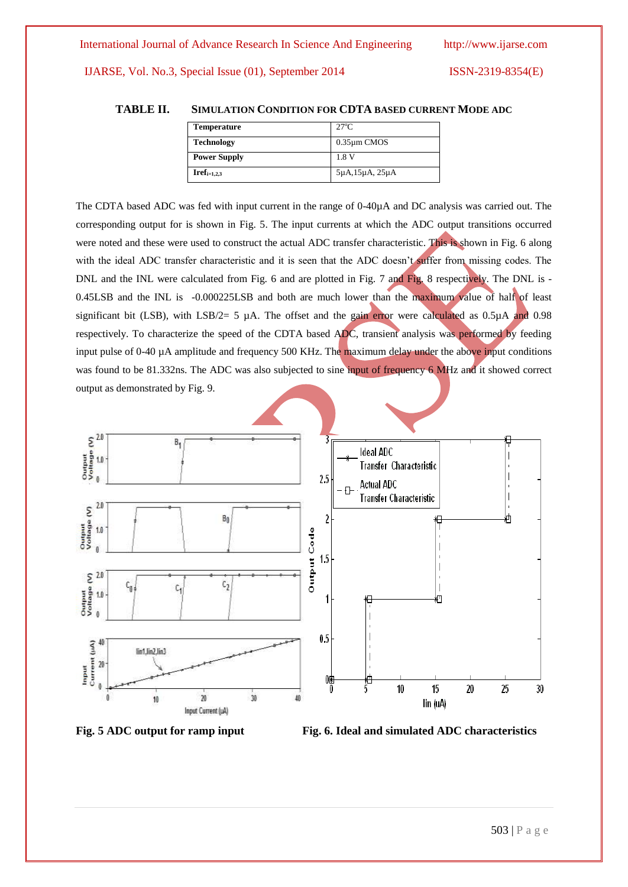### **TABLE II. SIMULATION CONDITION FOR CDTA BASED CURRENT MODE ADC**

| Temperature         | $27^{\circ}$ C                 |
|---------------------|--------------------------------|
| <b>Technology</b>   | $0.35 \mu m$ CMOS              |
| <b>Power Supply</b> | 1.8 V                          |
| $Iref_{i=1,2,3}$    | $5\mu$ A, $15\mu$ A, $25\mu$ A |

The CDTA based ADC was fed with input current in the range of 0-40µA and DC analysis was carried out. The corresponding output for is shown in Fig. 5. The input currents at which the ADC output transitions occurred were noted and these were used to construct the actual ADC transfer characteristic. This is shown in Fig. 6 along with the ideal ADC transfer characteristic and it is seen that the ADC doesn't suffer from missing codes. The DNL and the INL were calculated from Fig. 6 and are plotted in Fig. 7 and Fig. 8 respectively. The DNL is -0.45LSB and the INL is -0.000225LSB and both are much lower than the maximum value of half of least significant bit (LSB), with LSB/2= 5  $\mu$ A. The offset and the gain error were calculated as 0.5 $\mu$ A and 0.98 respectively. To characterize the speed of the CDTA based ADC, transient analysis was performed by feeding input pulse of 0-40 µA amplitude and frequency 500 KHz. The maximum delay under the above input conditions was found to be 81.332ns. The ADC was also subjected to sine input of frequency 6 MHz and it showed correct output as demonstrated by Fig. 9.





Fig. 5 ADC output for ramp input Fig. 6. Ideal and simulated ADC characteristics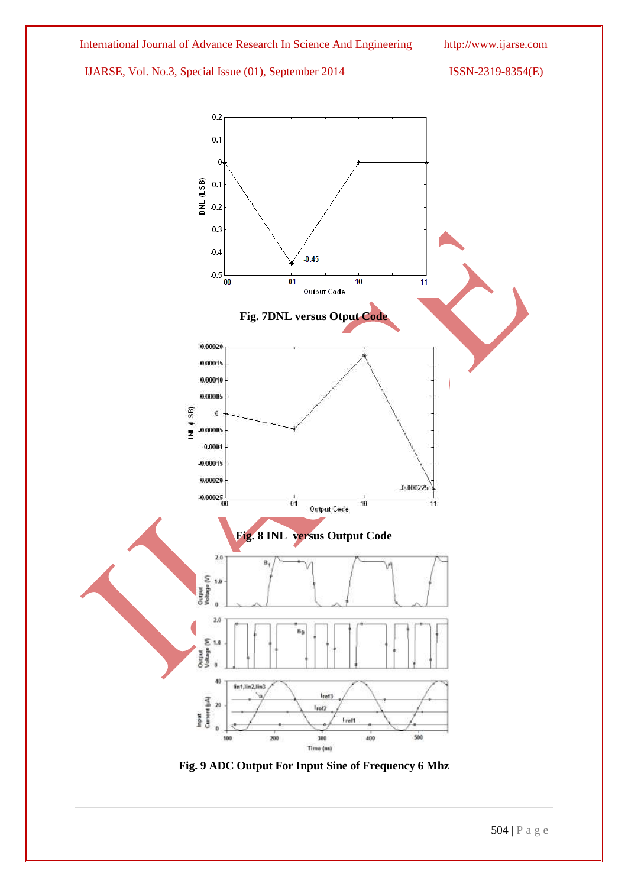

**Fig. 9 ADC Output For Input Sine of Frequency 6 Mhz**